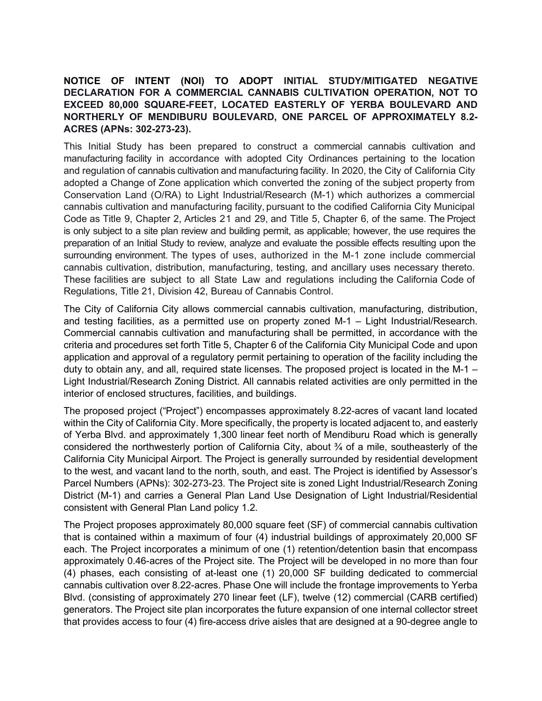## NOTICE OF INTENT (NOI) TO ADOPT INITIAL STUDY/MITIGATED NEGATIVE DECLARATION FOR A COMMERCIAL CANNABIS CULTIVATION OPERATION, NOT TO EXCEED 80,000 SQUARE-FEET, LOCATED EASTERLY OF YERBA BOULEVARD AND NORTHERLY OF MENDIBURU BOULEVARD, ONE PARCEL OF APPROXIMATELY 8.2- ACRES (APNs: 302-273-23).

This Initial Study has been prepared to construct a commercial cannabis cultivation and manufacturing facility in accordance with adopted City Ordinances pertaining to the location and regulation of cannabis cultivation and manufacturing facility. In 2020, the City of California City adopted a Change of Zone application which converted the zoning of the subject property from Conservation Land (O/RA) to Light Industrial/Research (M-1) which authorizes a commercial cannabis cultivation and manufacturing facility, pursuant to the codified California City Municipal Code as Title 9, Chapter 2, Articles 21 and 29, and Title 5, Chapter 6, of the same. The Project is only subject to a site plan review and building permit, as applicable; however, the use requires the preparation of an Initial Study to review, analyze and evaluate the possible effects resulting upon the surrounding environment. The types of uses, authorized in the M-1 zone include commercial cannabis cultivation, distribution, manufacturing, testing, and ancillary uses necessary thereto. These facilities are subject to all State Law and regulations including the California Code of Regulations, Title 21, Division 42, Bureau of Cannabis Control.

The City of California City allows commercial cannabis cultivation, manufacturing, distribution, and testing facilities, as a permitted use on property zoned M-1 – Light Industrial/Research. Commercial cannabis cultivation and manufacturing shall be permitted, in accordance with the criteria and procedures set forth Title 5, Chapter 6 of the California City Municipal Code and upon application and approval of a regulatory permit pertaining to operation of the facility including the duty to obtain any, and all, required state licenses. The proposed project is located in the M-1 – Light Industrial/Research Zoning District. All cannabis related activities are only permitted in the interior of enclosed structures, facilities, and buildings.

The proposed project ("Project") encompasses approximately 8.22-acres of vacant land located within the City of California City. More specifically, the property is located adjacent to, and easterly of Yerba Blvd. and approximately 1,300 linear feet north of Mendiburu Road which is generally considered the northwesterly portion of California City, about ¾ of a mile, southeasterly of the California City Municipal Airport. The Project is generally surrounded by residential development to the west, and vacant land to the north, south, and east. The Project is identified by Assessor's Parcel Numbers (APNs): 302-273-23. The Project site is zoned Light Industrial/Research Zoning District (M-1) and carries a General Plan Land Use Designation of Light Industrial/Residential consistent with General Plan Land policy 1.2.

The Project proposes approximately 80,000 square feet (SF) of commercial cannabis cultivation that is contained within a maximum of four (4) industrial buildings of approximately 20,000 SF each. The Project incorporates a minimum of one (1) retention/detention basin that encompass approximately 0.46-acres of the Project site. The Project will be developed in no more than four (4) phases, each consisting of at-least one (1) 20,000 SF building dedicated to commercial cannabis cultivation over 8.22-acres. Phase One will include the frontage improvements to Yerba Blvd. (consisting of approximately 270 linear feet (LF), twelve (12) commercial (CARB certified) generators. The Project site plan incorporates the future expansion of one internal collector street that provides access to four (4) fire-access drive aisles that are designed at a 90-degree angle to